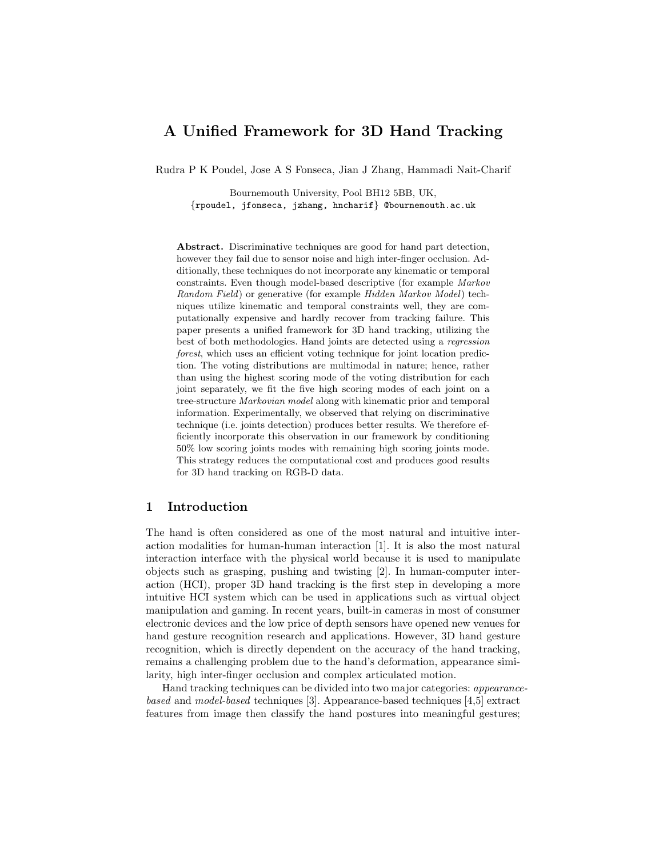# A Unified Framework for 3D Hand Tracking

Rudra P K Poudel, Jose A S Fonseca, Jian J Zhang, Hammadi Nait-Charif

Bournemouth University, Pool BH12 5BB, UK, {rpoudel, jfonseca, jzhang, hncharif} @bournemouth.ac.uk

Abstract. Discriminative techniques are good for hand part detection, however they fail due to sensor noise and high inter-finger occlusion. Additionally, these techniques do not incorporate any kinematic or temporal constraints. Even though model-based descriptive (for example Markov Random Field) or generative (for example Hidden Markov Model) techniques utilize kinematic and temporal constraints well, they are computationally expensive and hardly recover from tracking failure. This paper presents a unified framework for 3D hand tracking, utilizing the best of both methodologies. Hand joints are detected using a regression forest, which uses an efficient voting technique for joint location prediction. The voting distributions are multimodal in nature; hence, rather than using the highest scoring mode of the voting distribution for each joint separately, we fit the five high scoring modes of each joint on a tree-structure Markovian model along with kinematic prior and temporal information. Experimentally, we observed that relying on discriminative technique (i.e. joints detection) produces better results. We therefore efficiently incorporate this observation in our framework by conditioning 50% low scoring joints modes with remaining high scoring joints mode. This strategy reduces the computational cost and produces good results for 3D hand tracking on RGB-D data.

## 1 Introduction

The hand is often considered as one of the most natural and intuitive interaction modalities for human-human interaction [1]. It is also the most natural interaction interface with the physical world because it is used to manipulate objects such as grasping, pushing and twisting [2]. In human-computer interaction (HCI), proper 3D hand tracking is the first step in developing a more intuitive HCI system which can be used in applications such as virtual object manipulation and gaming. In recent years, built-in cameras in most of consumer electronic devices and the low price of depth sensors have opened new venues for hand gesture recognition research and applications. However, 3D hand gesture recognition, which is directly dependent on the accuracy of the hand tracking, remains a challenging problem due to the hand's deformation, appearance similarity, high inter-finger occlusion and complex articulated motion.

Hand tracking techniques can be divided into two major categories: appearancebased and model-based techniques [3]. Appearance-based techniques [4,5] extract features from image then classify the hand postures into meaningful gestures;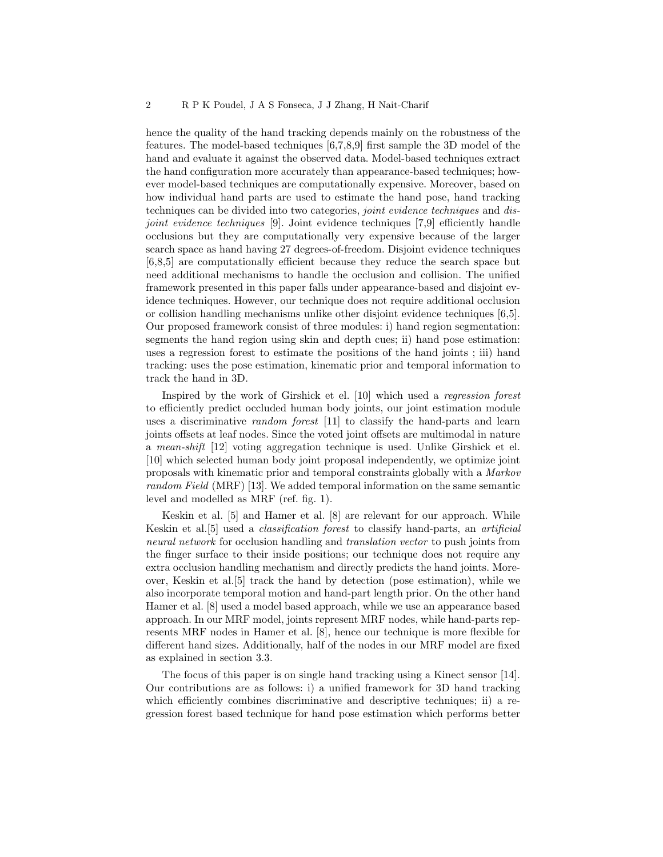hence the quality of the hand tracking depends mainly on the robustness of the features. The model-based techniques [6,7,8,9] first sample the 3D model of the hand and evaluate it against the observed data. Model-based techniques extract the hand configuration more accurately than appearance-based techniques; however model-based techniques are computationally expensive. Moreover, based on how individual hand parts are used to estimate the hand pose, hand tracking techniques can be divided into two categories, joint evidence techniques and disjoint evidence techniques [9]. Joint evidence techniques [7,9] efficiently handle occlusions but they are computationally very expensive because of the larger search space as hand having 27 degrees-of-freedom. Disjoint evidence techniques [6,8,5] are computationally efficient because they reduce the search space but need additional mechanisms to handle the occlusion and collision. The unified framework presented in this paper falls under appearance-based and disjoint evidence techniques. However, our technique does not require additional occlusion or collision handling mechanisms unlike other disjoint evidence techniques [6,5]. Our proposed framework consist of three modules: i) hand region segmentation: segments the hand region using skin and depth cues; ii) hand pose estimation: uses a regression forest to estimate the positions of the hand joints ; iii) hand tracking: uses the pose estimation, kinematic prior and temporal information to track the hand in 3D.

Inspired by the work of Girshick et el. [10] which used a regression forest to efficiently predict occluded human body joints, our joint estimation module uses a discriminative random forest [11] to classify the hand-parts and learn joints offsets at leaf nodes. Since the voted joint offsets are multimodal in nature a mean-shift [12] voting aggregation technique is used. Unlike Girshick et el. [10] which selected human body joint proposal independently, we optimize joint proposals with kinematic prior and temporal constraints globally with a Markov random Field (MRF) [13]. We added temporal information on the same semantic level and modelled as MRF (ref. fig. 1).

Keskin et al. [5] and Hamer et al. [8] are relevant for our approach. While Keskin et al.[5] used a classification forest to classify hand-parts, an artificial neural network for occlusion handling and translation vector to push joints from the finger surface to their inside positions; our technique does not require any extra occlusion handling mechanism and directly predicts the hand joints. Moreover, Keskin et al.[5] track the hand by detection (pose estimation), while we also incorporate temporal motion and hand-part length prior. On the other hand Hamer et al. [8] used a model based approach, while we use an appearance based approach. In our MRF model, joints represent MRF nodes, while hand-parts represents MRF nodes in Hamer et al. [8], hence our technique is more flexible for different hand sizes. Additionally, half of the nodes in our MRF model are fixed as explained in section 3.3.

The focus of this paper is on single hand tracking using a Kinect sensor [14]. Our contributions are as follows: i) a unified framework for 3D hand tracking which efficiently combines discriminative and descriptive techniques; ii) a regression forest based technique for hand pose estimation which performs better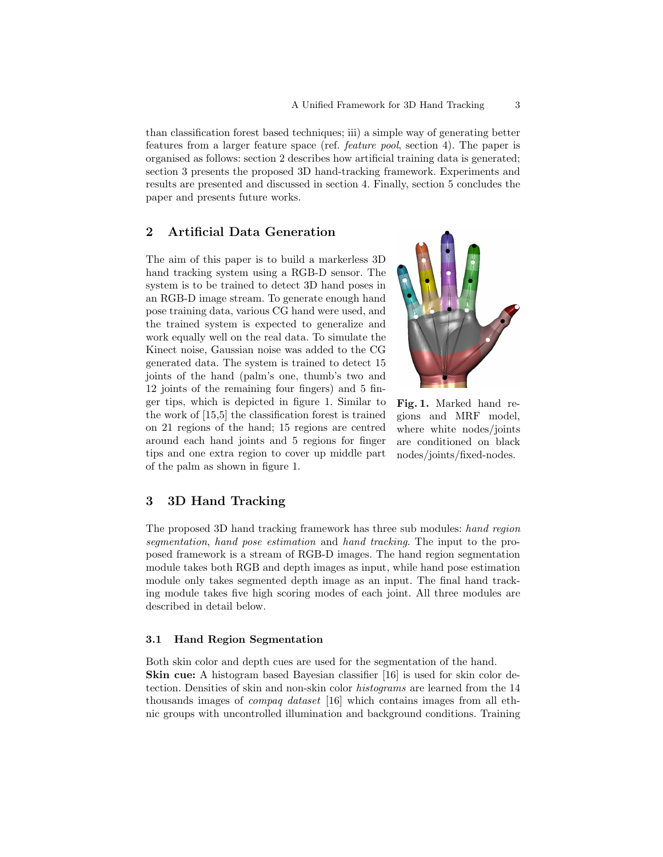than classification forest based techniques; iii) a simple way of generating better features from a larger feature space (ref. feature pool, section 4). The paper is organised as follows: section 2 describes how artificial training data is generated; section 3 presents the proposed 3D hand-tracking framework. Experiments and results are presented and discussed in section 4. Finally, section 5 concludes the paper and presents future works.

## 2 Artificial Data Generation

The aim of this paper is to build a markerless 3D hand tracking system using a RGB-D sensor. The system is to be trained to detect 3D hand poses in an RGB-D image stream. To generate enough hand pose training data, various CG hand were used, and the trained system is expected to generalize and work equally well on the real data. To simulate the Kinect noise, Gaussian noise was added to the CG generated data. The system is trained to detect 15 joints of the hand (palm's one, thumb's two and 12 joints of the remaining four fingers) and 5 finger tips, which is depicted in figure 1. Similar to the work of [15,5] the classification forest is trained on 21 regions of the hand; 15 regions are centred around each hand joints and 5 regions for finger tips and one extra region to cover up middle part of the palm as shown in figure 1.



Fig. 1. Marked hand regions and MRF model, where white nodes/joints are conditioned on black nodes/joints/fixed-nodes.

## 3 3D Hand Tracking

The proposed 3D hand tracking framework has three sub modules: hand region segmentation, hand pose estimation and hand tracking. The input to the proposed framework is a stream of RGB-D images. The hand region segmentation module takes both RGB and depth images as input, while hand pose estimation module only takes segmented depth image as an input. The final hand tracking module takes five high scoring modes of each joint. All three modules are described in detail below.

#### 3.1 Hand Region Segmentation

Both skin color and depth cues are used for the segmentation of the hand. Skin cue: A histogram based Bayesian classifier [16] is used for skin color detection. Densities of skin and non-skin color histograms are learned from the 14 thousands images of compaq dataset [16] which contains images from all ethnic groups with uncontrolled illumination and background conditions. Training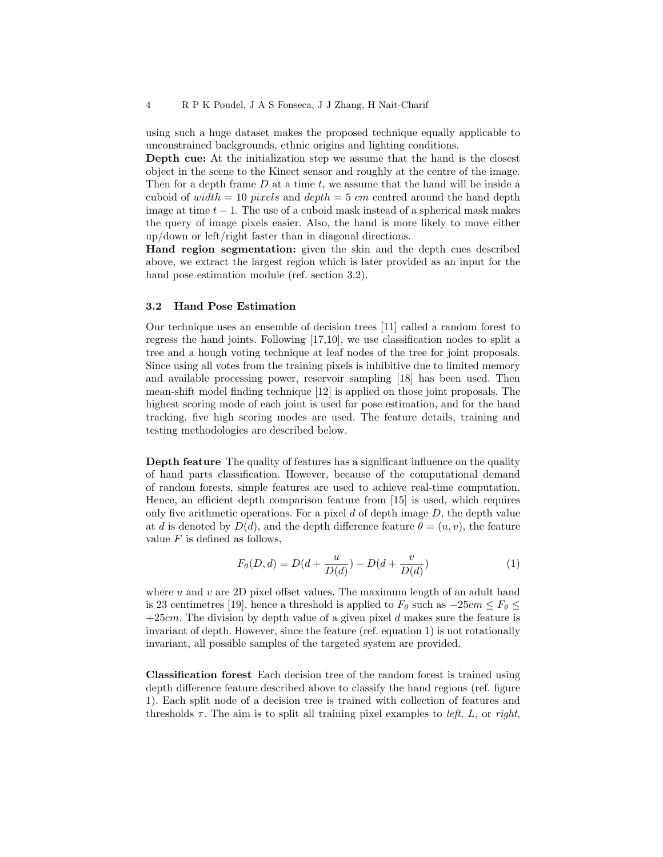using such a huge dataset makes the proposed technique equally applicable to unconstrained backgrounds, ethnic origins and lighting conditions.

Depth cue: At the initialization step we assume that the hand is the closest object in the scene to the Kinect sensor and roughly at the centre of the image. Then for a depth frame  $D$  at a time  $t$ , we assume that the hand will be inside a cuboid of width = 10 pixels and depth = 5 cm centred around the hand depth image at time  $t - 1$ . The use of a cuboid mask instead of a spherical mask makes the query of image pixels easier. Also, the hand is more likely to move either up/down or left/right faster than in diagonal directions.

Hand region segmentation: given the skin and the depth cues described above, we extract the largest region which is later provided as an input for the hand pose estimation module (ref. section 3.2).

#### 3.2 Hand Pose Estimation

Our technique uses an ensemble of decision trees [11] called a random forest to regress the hand joints. Following [17,10], we use classification nodes to split a tree and a hough voting technique at leaf nodes of the tree for joint proposals. Since using all votes from the training pixels is inhibitive due to limited memory and available processing power, reservoir sampling [18] has been used. Then mean-shift model finding technique [12] is applied on those joint proposals. The highest scoring mode of each joint is used for pose estimation, and for the hand tracking, five high scoring modes are used. The feature details, training and testing methodologies are described below.

Depth feature The quality of features has a significant influence on the quality of hand parts classification. However, because of the computational demand of random forests, simple features are used to achieve real-time computation. Hence, an efficient depth comparison feature from [15] is used, which requires only five arithmetic operations. For a pixel  $d$  of depth image  $D$ , the depth value at d is denoted by  $D(d)$ , and the depth difference feature  $\theta = (u, v)$ , the feature value  $F$  is defined as follows,

$$
F_{\theta}(D, d) = D(d + \frac{u}{D(d)}) - D(d + \frac{v}{D(d)})
$$
\n(1)

where  $u$  and  $v$  are 2D pixel offset values. The maximum length of an adult hand is 23 centimetres [19], hence a threshold is applied to  $F_{\theta}$  such as  $-25cm \leq F_{\theta} \leq$  $+25cm$ . The division by depth value of a given pixel d makes sure the feature is invariant of depth. However, since the feature (ref. equation 1) is not rotationally invariant, all possible samples of the targeted system are provided.

Classification forest Each decision tree of the random forest is trained using depth difference feature described above to classify the hand regions (ref. figure 1). Each split node of a decision tree is trained with collection of features and thresholds  $\tau$ . The aim is to split all training pixel examples to *left*, L, or *right*,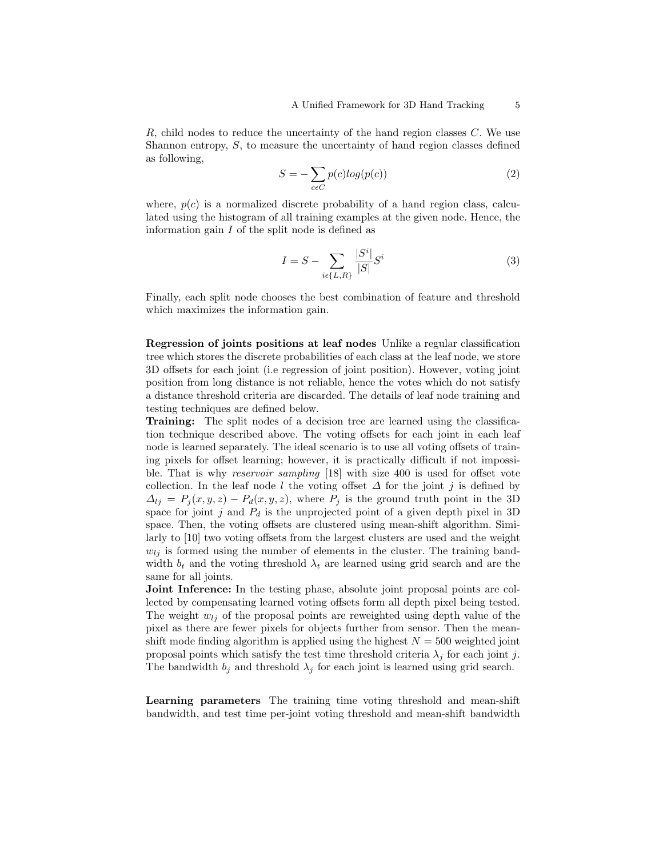R, child nodes to reduce the uncertainty of the hand region classes C. We use Shannon entropy, S, to measure the uncertainty of hand region classes defined as following,

$$
S = -\sum_{c \in C} p(c)log(p(c)) \tag{2}
$$

where,  $p(c)$  is a normalized discrete probability of a hand region class, calculated using the histogram of all training examples at the given node. Hence, the information gain  $I$  of the split node is defined as

$$
I = S - \sum_{i \in \{L, R\}} \frac{|S^i|}{|S|} S^i
$$
 (3)

Finally, each split node chooses the best combination of feature and threshold which maximizes the information gain.

Regression of joints positions at leaf nodes Unlike a regular classification tree which stores the discrete probabilities of each class at the leaf node, we store 3D offsets for each joint (i.e regression of joint position). However, voting joint position from long distance is not reliable, hence the votes which do not satisfy a distance threshold criteria are discarded. The details of leaf node training and testing techniques are defined below.

Training: The split nodes of a decision tree are learned using the classification technique described above. The voting offsets for each joint in each leaf node is learned separately. The ideal scenario is to use all voting offsets of training pixels for offset learning; however, it is practically difficult if not impossible. That is why reservoir sampling [18] with size 400 is used for offset vote collection. In the leaf node l the voting offset  $\Delta$  for the joint j is defined by  $\Delta_{lj} = P_j(x, y, z) - P_d(x, y, z)$ , where  $P_j$  is the ground truth point in the 3D space for joint j and  $P_d$  is the unprojected point of a given depth pixel in 3D space. Then, the voting offsets are clustered using mean-shift algorithm. Similarly to [10] two voting offsets from the largest clusters are used and the weight  $w_{lj}$  is formed using the number of elements in the cluster. The training bandwidth  $b_t$  and the voting threshold  $\lambda_t$  are learned using grid search and are the same for all joints.

Joint Inference: In the testing phase, absolute joint proposal points are collected by compensating learned voting offsets form all depth pixel being tested. The weight  $w_{ij}$  of the proposal points are reweighted using depth value of the pixel as there are fewer pixels for objects further from sensor. Then the meanshift mode finding algorithm is applied using the highest  $N = 500$  weighted joint proposal points which satisfy the test time threshold criteria  $\lambda_i$  for each joint j. The bandwidth  $b_i$  and threshold  $\lambda_i$  for each joint is learned using grid search.

Learning parameters The training time voting threshold and mean-shift bandwidth, and test time per-joint voting threshold and mean-shift bandwidth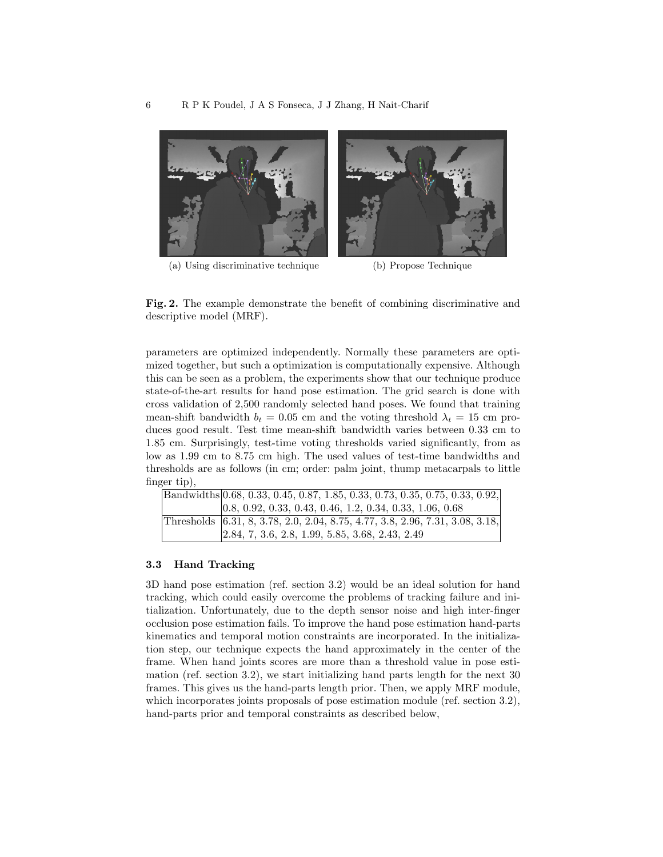

(a) Using discriminative technique (b) Propose Technique

Fig. 2. The example demonstrate the benefit of combining discriminative and descriptive model (MRF).

parameters are optimized independently. Normally these parameters are optimized together, but such a optimization is computationally expensive. Although this can be seen as a problem, the experiments show that our technique produce state-of-the-art results for hand pose estimation. The grid search is done with cross validation of 2,500 randomly selected hand poses. We found that training mean-shift bandwidth  $b_t = 0.05$  cm and the voting threshold  $\lambda_t = 15$  cm produces good result. Test time mean-shift bandwidth varies between 0.33 cm to 1.85 cm. Surprisingly, test-time voting thresholds varied significantly, from as low as 1.99 cm to 8.75 cm high. The used values of test-time bandwidths and thresholds are as follows (in cm; order: palm joint, thump metacarpals to little finger tip),

|  | Bandwidths 0.68, 0.33, 0.45, 0.87, 1.85, 0.33, 0.73, 0.35, 0.75, 0.33, 0.92,   |
|--|--------------------------------------------------------------------------------|
|  | $ 0.8, 0.92, 0.33, 0.43, 0.46, 1.2, 0.34, 0.33, 1.06, 0.68$                    |
|  | Thresholds [6.31, 8, 3.78, 2.0, 2.04, 8.75, 4.77, 3.8, 2.96, 7.31, 3.08, 3.18, |
|  | $[2.84, 7, 3.6, 2.8, 1.99, 5.85, 3.68, 2.43, 2.49]$                            |

#### 3.3 Hand Tracking

3D hand pose estimation (ref. section 3.2) would be an ideal solution for hand tracking, which could easily overcome the problems of tracking failure and initialization. Unfortunately, due to the depth sensor noise and high inter-finger occlusion pose estimation fails. To improve the hand pose estimation hand-parts kinematics and temporal motion constraints are incorporated. In the initialization step, our technique expects the hand approximately in the center of the frame. When hand joints scores are more than a threshold value in pose estimation (ref. section 3.2), we start initializing hand parts length for the next 30 frames. This gives us the hand-parts length prior. Then, we apply MRF module, which incorporates joints proposals of pose estimation module (ref. section 3.2), hand-parts prior and temporal constraints as described below,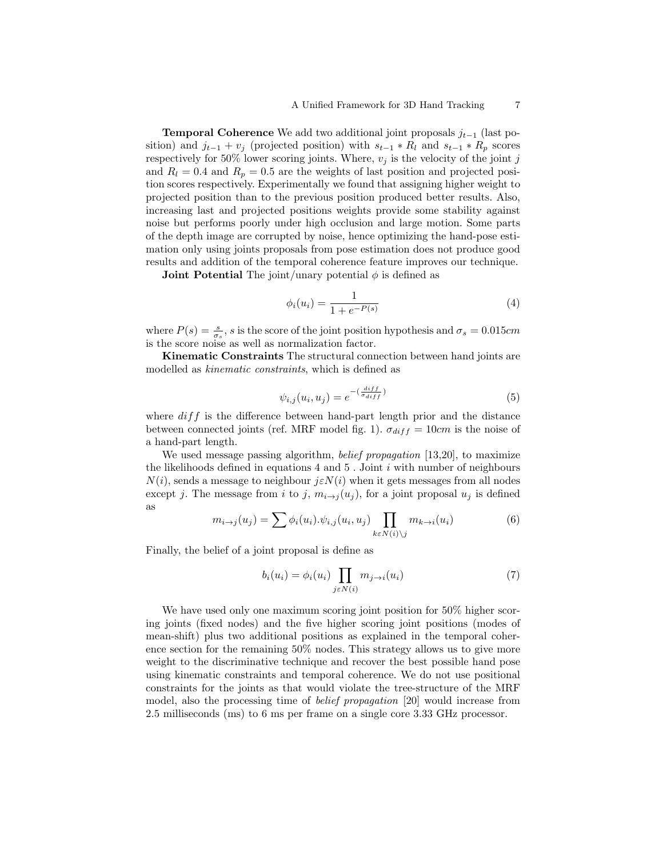**Temporal Coherence** We add two additional joint proposals  $j_{t-1}$  (last position) and  $j_{t-1} + v_j$  (projected position) with  $s_{t-1} * R_l$  and  $s_{t-1} * R_p$  scores respectively for 50% lower scoring joints. Where,  $v_j$  is the velocity of the joint j and  $R_l = 0.4$  and  $R_p = 0.5$  are the weights of last position and projected position scores respectively. Experimentally we found that assigning higher weight to projected position than to the previous position produced better results. Also, increasing last and projected positions weights provide some stability against noise but performs poorly under high occlusion and large motion. Some parts of the depth image are corrupted by noise, hence optimizing the hand-pose estimation only using joints proposals from pose estimation does not produce good results and addition of the temporal coherence feature improves our technique.

**Joint Potential** The joint/unary potential  $\phi$  is defined as

$$
\phi_i(u_i) = \frac{1}{1 + e^{-P(s)}}\tag{4}
$$

where  $P(s) = \frac{s}{\sigma_s}$ , s is the score of the joint position hypothesis and  $\sigma_s = 0.015$ cm is the score noise as well as normalization factor.

Kinematic Constraints The structural connection between hand joints are modelled as kinematic constraints, which is defined as

$$
\psi_{i,j}(u_i, u_j) = e^{-\left(\frac{diff}{\sigma_{diff}}\right)}\tag{5}
$$

where  $diff$  is the difference between hand-part length prior and the distance between connected joints (ref. MRF model fig. 1).  $\sigma_{diff} = 10cm$  is the noise of a hand-part length.

We used message passing algorithm, *belief propagation* [13,20], to maximize the likelihoods defined in equations  $4$  and  $5$ . Joint  $i$  with number of neighbours  $N(i)$ , sends a message to neighbour  $j \in N(i)$  when it gets messages from all nodes except j. The message from i to j,  $m_{i\rightarrow j}(u_j)$ , for a joint proposal  $u_j$  is defined as

$$
m_{i \to j}(u_j) = \sum \phi_i(u_i) . \psi_{i,j}(u_i, u_j) \prod_{k \in N(i) \setminus j} m_{k \to i}(u_i)
$$
(6)

Finally, the belief of a joint proposal is define as

$$
b_i(u_i) = \phi_i(u_i) \prod_{j \in N(i)} m_{j \to i}(u_i)
$$
\n<sup>(7)</sup>

We have used only one maximum scoring joint position for 50% higher scoring joints (fixed nodes) and the five higher scoring joint positions (modes of mean-shift) plus two additional positions as explained in the temporal coherence section for the remaining 50% nodes. This strategy allows us to give more weight to the discriminative technique and recover the best possible hand pose using kinematic constraints and temporal coherence. We do not use positional constraints for the joints as that would violate the tree-structure of the MRF model, also the processing time of belief propagation [20] would increase from 2.5 milliseconds (ms) to 6 ms per frame on a single core 3.33 GHz processor.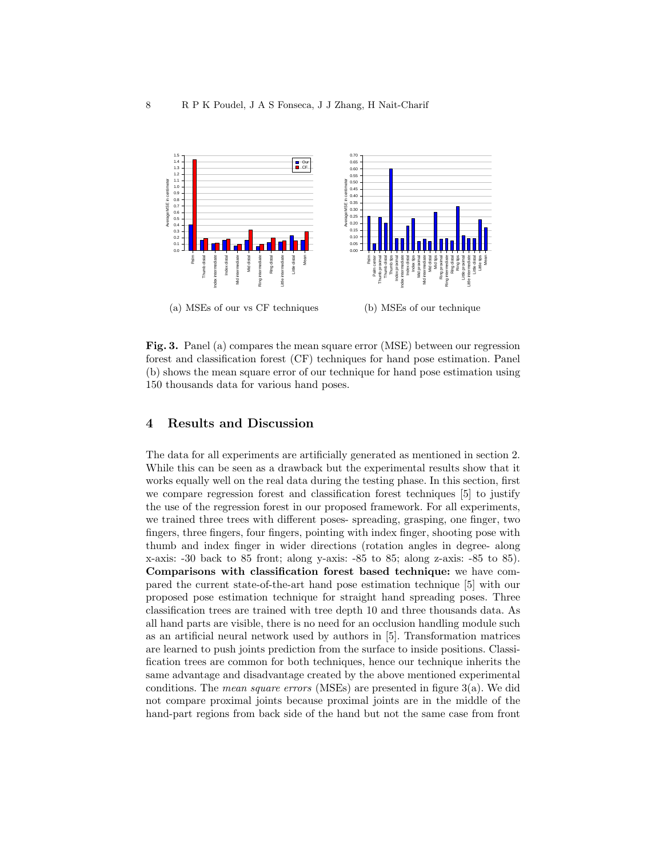

Fig. 3. Panel (a) compares the mean square error (MSE) between our regression forest and classification forest (CF) techniques for hand pose estimation. Panel (b) shows the mean square error of our technique for hand pose estimation using 150 thousands data for various hand poses.

## 4 Results and Discussion

The data for all experiments are artificially generated as mentioned in section 2. While this can be seen as a drawback but the experimental results show that it works equally well on the real data during the testing phase. In this section, first we compare regression forest and classification forest techniques [5] to justify the use of the regression forest in our proposed framework. For all experiments, we trained three trees with different poses- spreading, grasping, one finger, two fingers, three fingers, four fingers, pointing with index finger, shooting pose with thumb and index finger in wider directions (rotation angles in degree- along x-axis: -30 back to 85 front; along y-axis: -85 to 85; along z-axis: -85 to 85). Comparisons with classification forest based technique: we have compared the current state-of-the-art hand pose estimation technique [5] with our proposed pose estimation technique for straight hand spreading poses. Three classification trees are trained with tree depth 10 and three thousands data. As all hand parts are visible, there is no need for an occlusion handling module such as an artificial neural network used by authors in [5]. Transformation matrices are learned to push joints prediction from the surface to inside positions. Classification trees are common for both techniques, hence our technique inherits the same advantage and disadvantage created by the above mentioned experimental conditions. The mean square errors (MSEs) are presented in figure 3(a). We did not compare proximal joints because proximal joints are in the middle of the hand-part regions from back side of the hand but not the same case from front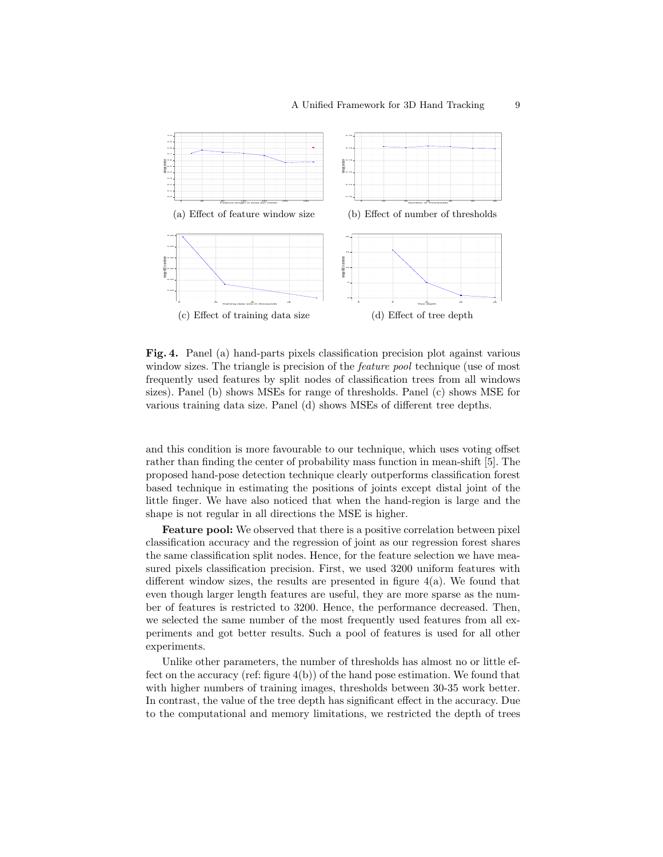

Fig. 4. Panel (a) hand-parts pixels classification precision plot against various window sizes. The triangle is precision of the *feature pool* technique (use of most frequently used features by split nodes of classification trees from all windows sizes). Panel (b) shows MSEs for range of thresholds. Panel (c) shows MSE for various training data size. Panel (d) shows MSEs of different tree depths.

and this condition is more favourable to our technique, which uses voting offset rather than finding the center of probability mass function in mean-shift [5]. The proposed hand-pose detection technique clearly outperforms classification forest based technique in estimating the positions of joints except distal joint of the little finger. We have also noticed that when the hand-region is large and the shape is not regular in all directions the MSE is higher.

Feature pool: We observed that there is a positive correlation between pixel classification accuracy and the regression of joint as our regression forest shares the same classification split nodes. Hence, for the feature selection we have measured pixels classification precision. First, we used 3200 uniform features with different window sizes, the results are presented in figure 4(a). We found that even though larger length features are useful, they are more sparse as the number of features is restricted to 3200. Hence, the performance decreased. Then, we selected the same number of the most frequently used features from all experiments and got better results. Such a pool of features is used for all other experiments.

Unlike other parameters, the number of thresholds has almost no or little effect on the accuracy (ref: figure 4(b)) of the hand pose estimation. We found that with higher numbers of training images, thresholds between 30-35 work better. In contrast, the value of the tree depth has significant effect in the accuracy. Due to the computational and memory limitations, we restricted the depth of trees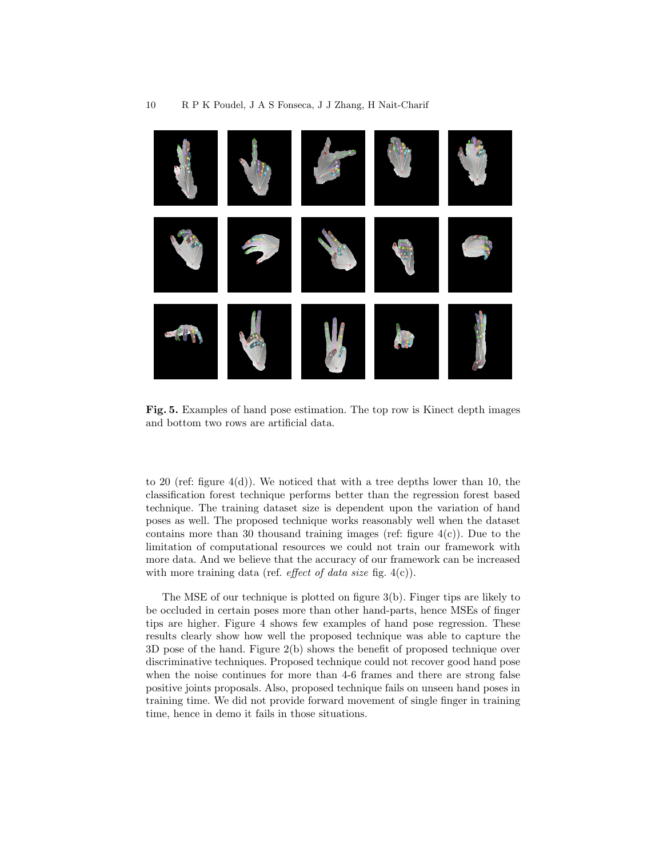

Fig. 5. Examples of hand pose estimation. The top row is Kinect depth images and bottom two rows are artificial data.

to 20 (ref: figure  $4(d)$ ). We noticed that with a tree depths lower than 10, the classification forest technique performs better than the regression forest based technique. The training dataset size is dependent upon the variation of hand poses as well. The proposed technique works reasonably well when the dataset contains more than 30 thousand training images (ref: figure  $4(c)$ ). Due to the limitation of computational resources we could not train our framework with more data. And we believe that the accuracy of our framework can be increased with more training data (ref. *effect of data size* fig.  $4(c)$ ).

The MSE of our technique is plotted on figure 3(b). Finger tips are likely to be occluded in certain poses more than other hand-parts, hence MSEs of finger tips are higher. Figure 4 shows few examples of hand pose regression. These results clearly show how well the proposed technique was able to capture the 3D pose of the hand. Figure 2(b) shows the benefit of proposed technique over discriminative techniques. Proposed technique could not recover good hand pose when the noise continues for more than 4-6 frames and there are strong false positive joints proposals. Also, proposed technique fails on unseen hand poses in training time. We did not provide forward movement of single finger in training time, hence in demo it fails in those situations.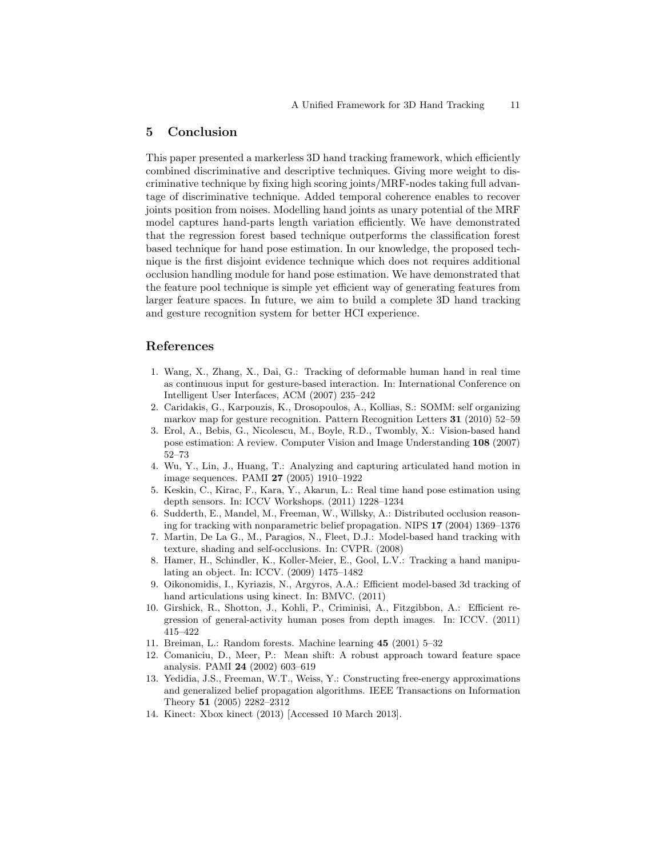## 5 Conclusion

This paper presented a markerless 3D hand tracking framework, which efficiently combined discriminative and descriptive techniques. Giving more weight to discriminative technique by fixing high scoring joints/MRF-nodes taking full advantage of discriminative technique. Added temporal coherence enables to recover joints position from noises. Modelling hand joints as unary potential of the MRF model captures hand-parts length variation efficiently. We have demonstrated that the regression forest based technique outperforms the classification forest based technique for hand pose estimation. In our knowledge, the proposed technique is the first disjoint evidence technique which does not requires additional occlusion handling module for hand pose estimation. We have demonstrated that the feature pool technique is simple yet efficient way of generating features from larger feature spaces. In future, we aim to build a complete 3D hand tracking and gesture recognition system for better HCI experience.

## References

- 1. Wang, X., Zhang, X., Dai, G.: Tracking of deformable human hand in real time as continuous input for gesture-based interaction. In: International Conference on Intelligent User Interfaces, ACM (2007) 235–242
- 2. Caridakis, G., Karpouzis, K., Drosopoulos, A., Kollias, S.: SOMM: self organizing markov map for gesture recognition. Pattern Recognition Letters 31 (2010) 52–59
- 3. Erol, A., Bebis, G., Nicolescu, M., Boyle, R.D., Twombly, X.: Vision-based hand pose estimation: A review. Computer Vision and Image Understanding 108 (2007) 52–73
- 4. Wu, Y., Lin, J., Huang, T.: Analyzing and capturing articulated hand motion in image sequences. PAMI 27 (2005) 1910–1922
- 5. Keskin, C., Kirac, F., Kara, Y., Akarun, L.: Real time hand pose estimation using depth sensors. In: ICCV Workshops. (2011) 1228–1234
- 6. Sudderth, E., Mandel, M., Freeman, W., Willsky, A.: Distributed occlusion reasoning for tracking with nonparametric belief propagation. NIPS 17 (2004) 1369–1376
- 7. Martin, De La G., M., Paragios, N., Fleet, D.J.: Model-based hand tracking with texture, shading and self-occlusions. In: CVPR. (2008)
- 8. Hamer, H., Schindler, K., Koller-Meier, E., Gool, L.V.: Tracking a hand manipulating an object. In: ICCV. (2009) 1475–1482
- 9. Oikonomidis, I., Kyriazis, N., Argyros, A.A.: Efficient model-based 3d tracking of hand articulations using kinect. In: BMVC. (2011)
- 10. Girshick, R., Shotton, J., Kohli, P., Criminisi, A., Fitzgibbon, A.: Efficient regression of general-activity human poses from depth images. In: ICCV. (2011) 415–422
- 11. Breiman, L.: Random forests. Machine learning 45 (2001) 5–32
- 12. Comaniciu, D., Meer, P.: Mean shift: A robust approach toward feature space analysis. PAMI 24 (2002) 603–619
- 13. Yedidia, J.S., Freeman, W.T., Weiss, Y.: Constructing free-energy approximations and generalized belief propagation algorithms. IEEE Transactions on Information Theory 51 (2005) 2282–2312
- 14. Kinect: Xbox kinect (2013) [Accessed 10 March 2013].